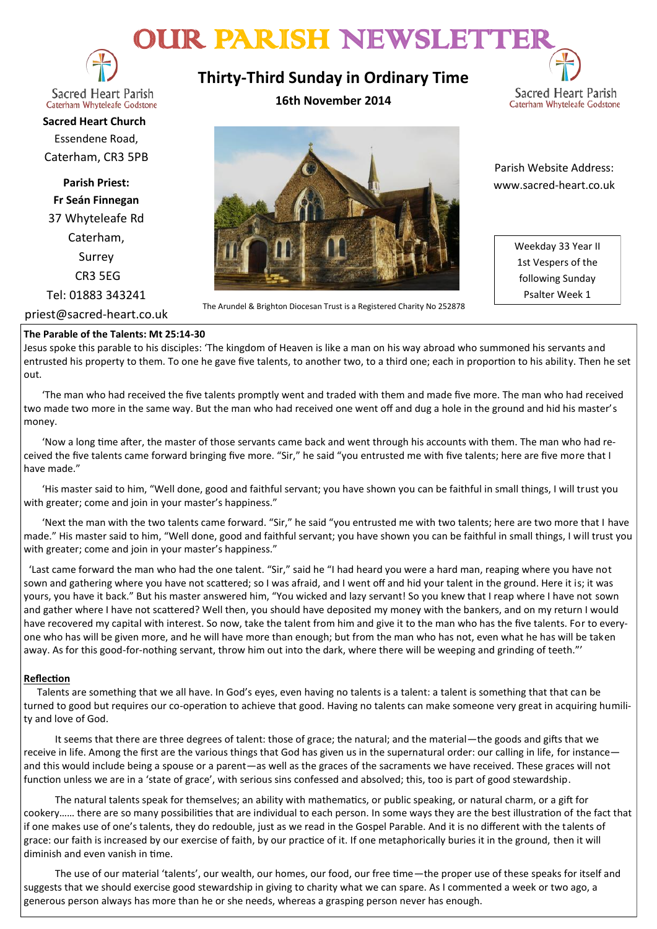# OUR PARISH NEWSLETTE



**Sacred Heart Parish** Caterham Whyteleafe Godstone

**Sacred Heart Church** Essendene Road, Caterham, CR3 5PB

**Parish Priest: Fr Seán Finnegan** 37 Whyteleafe Rd Caterham, Surrey CR3 5EG

Tel: 01883 343241

priest@sacred-heart.co.uk

#### **The Parable of the Talents: Mt 25:14-30**

Jesus spoke this parable to his disciples: 'The kingdom of Heaven is like a man on his way abroad who summoned his servants and entrusted his property to them. To one he gave five talents, to another two, to a third one; each in proportion to his ability. Then he set out.

 'The man who had received the five talents promptly went and traded with them and made five more. The man who had received two made two more in the same way. But the man who had received one went off and dug a hole in the ground and hid his master's money.

 'Now a long time after, the master of those servants came back and went through his accounts with them. The man who had received the five talents came forward bringing five more. "Sir," he said "you entrusted me with five talents; here are five more that I have made."

 'His master said to him, "Well done, good and faithful servant; you have shown you can be faithful in small things, I will trust you with greater; come and join in your master's happiness."

 'Next the man with the two talents came forward. "Sir," he said "you entrusted me with two talents; here are two more that I have made." His master said to him, "Well done, good and faithful servant; you have shown you can be faithful in small things, I will trust you with greater; come and join in your master's happiness."

 'Last came forward the man who had the one talent. "Sir," said he "I had heard you were a hard man, reaping where you have not sown and gathering where you have not scattered; so I was afraid, and I went off and hid your talent in the ground. Here it is; it was yours, you have it back." But his master answered him, "You wicked and lazy servant! So you knew that I reap where I have not sown and gather where I have not scattered? Well then, you should have deposited my money with the bankers, and on my return I would have recovered my capital with interest. So now, take the talent from him and give it to the man who has the five talents. For to everyone who has will be given more, and he will have more than enough; but from the man who has not, even what he has will be taken away. As for this good-for-nothing servant, throw him out into the dark, where there will be weeping and grinding of teeth."'

#### **Reflection**

Talents are something that we all have. In God's eyes, even having no talents is a talent: a talent is something that that can be turned to good but requires our co-operation to achieve that good. Having no talents can make someone very great in acquiring humility and love of God.

It seems that there are three degrees of talent: those of grace; the natural; and the material—the goods and gifts that we receive in life. Among the first are the various things that God has given us in the supernatural order: our calling in life, for instance and this would include being a spouse or a parent—as well as the graces of the sacraments we have received. These graces will not function unless we are in a 'state of grace', with serious sins confessed and absolved; this, too is part of good stewardship.

The natural talents speak for themselves; an ability with mathematics, or public speaking, or natural charm, or a gift for cookery…… there are so many possibilities that are individual to each person. In some ways they are the best illustration of the fact that if one makes use of one's talents, they do redouble, just as we read in the Gospel Parable. And it is no different with the talents of grace: our faith is increased by our exercise of faith, by our practice of it. If one metaphorically buries it in the ground, then it will diminish and even vanish in time.

The use of our material 'talents', our wealth, our homes, our food, our free time—the proper use of these speaks for itself and suggests that we should exercise good stewardship in giving to charity what we can spare. As I commented a week or two ago, a generous person always has more than he or she needs, whereas a grasping person never has enough.

**Thirty-Third Sunday in Ordinary Time**

**16th November 2014**





The Arundel & Brighton Diocesan Trust is a Registered Charity No 252878

 Parish Website Address: www.sacred-heart.co.uk

> Weekday 33 Year II 1st Vespers of the following Sunday Psalter Week 1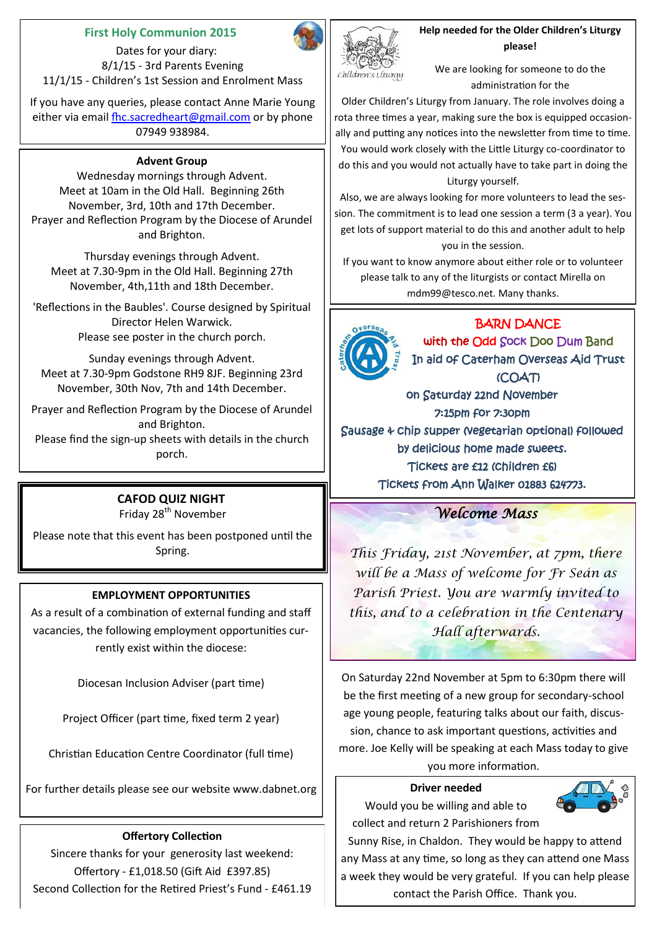#### **First Holy Communion 2015**

 Dates for your diary: 8/1/15 - 3rd Parents Evening 11/1/15 - Children's 1st Session and Enrolment Mass

If you have any queries, please contact Anne Marie Young either via email [fhc.sacredheart@gmail.com](mailto:fhc.sacredheart@gmail.com) or by phone 07949 938984.

#### **Advent Group**

Wednesday mornings through Advent. Meet at 10am in the Old Hall. Beginning 26th November, 3rd, 10th and 17th December. Prayer and Reflection Program by the Diocese of Arundel and Brighton.

Thursday evenings through Advent. Meet at 7.30-9pm in the Old Hall. Beginning 27th November, 4th,11th and 18th December.

'Reflections in the Baubles'. Course designed by Spiritual Director Helen Warwick. Please see poster in the church porch.

Sunday evenings through Advent. Meet at 7.30-9pm Godstone RH9 8JF. Beginning 23rd November, 30th Nov, 7th and 14th December.

Prayer and Reflection Program by the Diocese of Arundel and Brighton.

Please find the sign-up sheets with details in the church porch.

# **CAFOD QUIZ NIGHT**

Friday 28<sup>th</sup> November

Please note that this event has been postponed until the Spring.

### **EMPLOYMENT OPPORTUNITIES**

As a result of a combination of external funding and staff vacancies, the following employment opportunities currently exist within the diocese:

Diocesan Inclusion Adviser (part time)

Project Officer (part time, fixed term 2 year)

Christian Education Centre Coordinator (full time)

For further details please see our website www.dabnet.org

### **Offertory Collection**

Sincere thanks for your generosity last weekend: Offertory - £1,018.50 (Gift Aid £397.85) Second Collection for the Retired Priest's Fund - £461.19



**Help needed for the Older Children's Liturgy please!**

We are looking for someone to do the administration for the

Older Children's Liturgy from January. The role involves doing a rota three times a year, making sure the box is equipped occasionally and putting any notices into the newsletter from time to time. You would work closely with the Little Liturgy co-coordinator to do this and you would not actually have to take part in doing the Liturgy yourself.

Also, we are always looking for more volunteers to lead the session. The commitment is to lead one session a term (3 a year). You get lots of support material to do this and another adult to help you in the session.

If you want to know anymore about either role or to volunteer please talk to any of the liturgists or contact Mirella on mdm99@tesco.net. Many thanks.

# BARN DANCE



with the Odd Sock Doo Dum Band In aid of Caterham Overseas Aid Trust (COAT) on Saturday 22nd November 7:15pm for 7:30pm Sausage & chip supper (vegetarian optional) followed

by delicious home made sweets. Tickets are £12 (children £6)

Tickets from Ann Walker 01883 624773.

## *Welcome Mass*

*This Friday, 21st November, at 7pm, there will be a Mass of welcome for Fr Seán as Parish Priest. You are warmly invited to this, and to a celebration in the Centenary Hall afterwards.*

On Saturday 22nd November at 5pm to 6:30pm there will be the first meeting of a new group for secondary-school age young people, featuring talks about our faith, discussion, chance to ask important questions, activities and more. Joe Kelly will be speaking at each Mass today to give you more information.

#### **Driver needed**

Would you be willing and able to collect and return 2 Parishioners from



Sunny Rise, in Chaldon. They would be happy to attend any Mass at any time, so long as they can attend one Mass a week they would be very grateful. If you can help please contact the Parish Office. Thank you.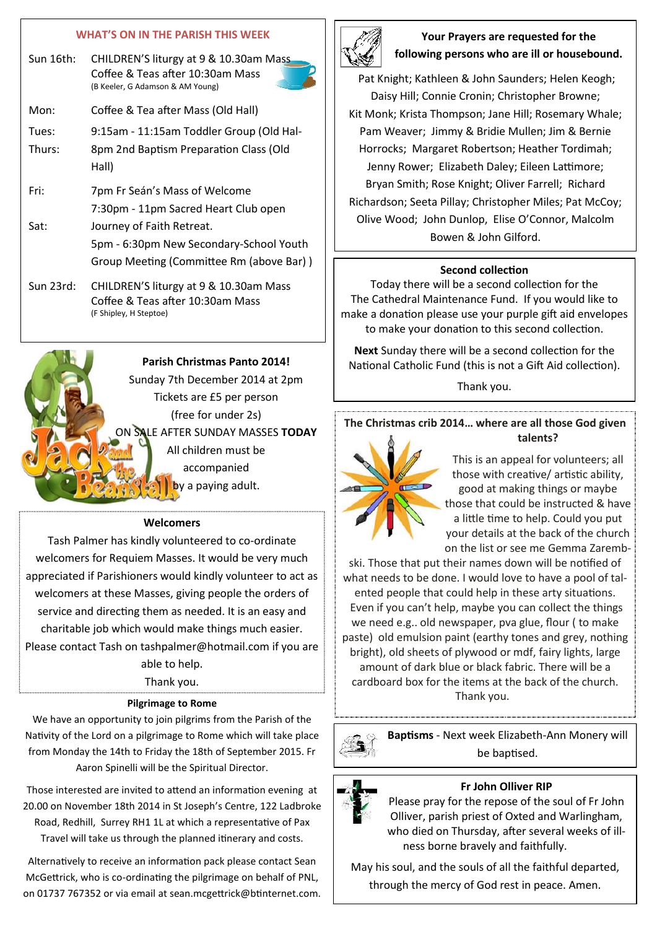#### **WHAT'S ON IN THE PARISH THIS WEEK**

| Sun 16th:       | CHILDREN'S liturgy at 9 & 10.30am Mass<br>Coffee & Teas after 10:30am Mass<br>(B Keeler, G Adamson & AM Young)   |
|-----------------|------------------------------------------------------------------------------------------------------------------|
| Mon:            | Coffee & Tea after Mass (Old Hall)                                                                               |
| Tues:<br>Thurs: | 9:15am - 11:15am Toddler Group (Old Hal-<br>8pm 2nd Baptism Preparation Class (Old<br>Hall)                      |
| Fri:            | 7pm Fr Seán's Mass of Welcome<br>7:30pm - 11pm Sacred Heart Club open                                            |
| Sat:            | Journey of Faith Retreat.<br>5pm - 6:30pm New Secondary-School Youth<br>Group Meeting (Committee Rm (above Bar)) |
| Sun 23rd:       | CHILDREN'S liturgy at 9 & 10.30am Mass<br>Coffee & Teas after 10:30am Mass<br>(F Shipley, H Steptoe)             |



#### **Welcomers**

Tash Palmer has kindly volunteered to co-ordinate welcomers for Requiem Masses. It would be very much appreciated if Parishioners would kindly volunteer to act as welcomers at these Masses, giving people the orders of service and directing them as needed. It is an easy and charitable job which would make things much easier. Please contact Tash on tashpalmer@hotmail.com if you are able to help.

Thank you.

#### **Pilgrimage to Rome**

We have an opportunity to join pilgrims from the Parish of the Nativity of the Lord on a pilgrimage to Rome which will take place from Monday the 14th to Friday the 18th of September 2015. Fr Aaron Spinelli will be the Spiritual Director.

Those interested are invited to attend an information evening at 20.00 on November 18th 2014 in St Joseph's Centre, 122 Ladbroke Road, Redhill, Surrey RH1 1L at which a representative of Pax Travel will take us through the planned itinerary and costs.

Alternatively to receive an information pack please contact Sean McGettrick, who is co-ordinating the pilgrimage on behalf of PNL, on 01737 767352 or via email at sean.mcgettrick@btinternet.com.



#### **Your Prayers are requested for the following persons who are ill or housebound.**

Pat Knight; Kathleen & John Saunders; Helen Keogh; Daisy Hill; Connie Cronin; Christopher Browne; Kit Monk; Krista Thompson; Jane Hill; Rosemary Whale; Pam Weaver; Jimmy & Bridie Mullen; Jim & Bernie Horrocks; Margaret Robertson; Heather Tordimah; Jenny Rower; Elizabeth Daley; Eileen Lattimore; Bryan Smith; Rose Knight; Oliver Farrell; Richard Richardson; Seeta Pillay; Christopher Miles; Pat McCoy; Olive Wood; John Dunlop, Elise O'Connor, Malcolm Bowen & John Gilford.

#### **Second collection**

Today there will be a second collection for the The Cathedral Maintenance Fund. If you would like to make a donation please use your purple gift aid envelopes to make your donation to this second collection.

**Next** Sunday there will be a second collection for the National Catholic Fund (this is not a Gift Aid collection).

Thank you.

#### **The Christmas crib 2014… where are all those God given talents?**



This is an appeal for volunteers; all those with creative/ artistic ability, good at making things or maybe those that could be instructed & have a little time to help. Could you put your details at the back of the church on the list or see me Gemma Zaremb-

ski. Those that put their names down will be notified of what needs to be done. I would love to have a pool of talented people that could help in these arty situations. Even if you can't help, maybe you can collect the things we need e.g.. old newspaper, pva glue, flour ( to make paste) old emulsion paint (earthy tones and grey, nothing bright), old sheets of plywood or mdf, fairy lights, large amount of dark blue or black fabric. There will be a cardboard box for the items at the back of the church. Thank you.



**Baptisms** - Next week Elizabeth-Ann Monery will be baptised.

#### **Fr John Olliver RIP**

Please pray for the repose of the soul of Fr John Olliver, parish priest of Oxted and Warlingham, who died on Thursday, after several weeks of illness borne bravely and faithfully.

May his soul, and the souls of all the faithful departed, through the mercy of God rest in peace. Amen.